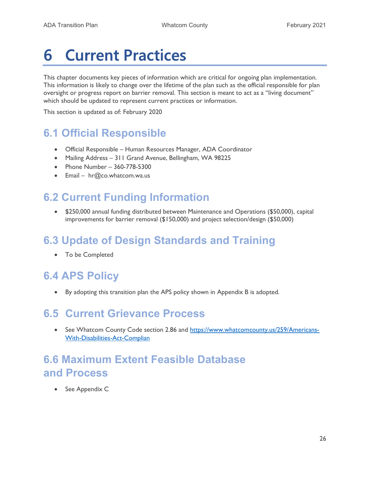# 6 Current Practices

This chapter documents key pieces of information which are critical for ongoing plan implementation. This information is likely to change over the lifetime of the plan such as the official responsible for plan oversight or progress report on barrier removal. This section is meant to act as a "living document" which should be updated to represent current practices or information.

This section is updated as of: February 2020

### 6.1 Official Responsible

- Official Responsible Human Resources Manager, ADA Coordinator
- Mailing Address 311 Grand Avenue, Bellingham, WA 98225
- Phone Number 360-778-5300
- Email hr@co.whatcom.wa.us

### 6.2 Current Funding Information

 \$250,000 annual funding distributed between Maintenance and Operations (\$50,000), capital improvements for barrier removal (\$150,000) and project selection/design (\$50,000)

### 6.3 Update of Design Standards and Training

To be Completed

### 6.4 APS Policy

By adopting this transition plan the APS policy shown in Appendix B is adopted.

#### 6.5 Current Grievance Process

• See Whatcom County Code section 2.86 and https://www.whatcomcounty.us/259/Americans-With-Disabilities-Act-Complian

#### 6.6 Maximum Extent Feasible Database and Process

• See Appendix C